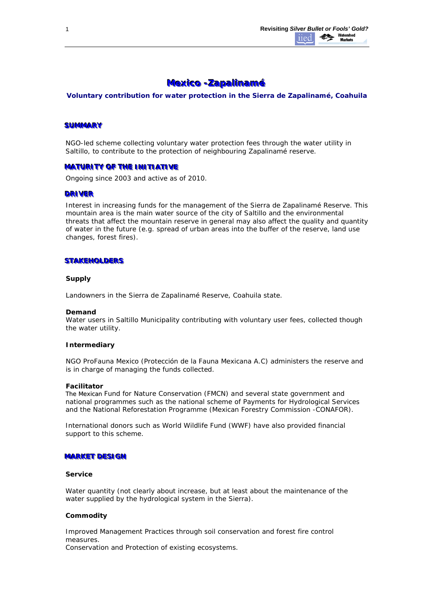# **Mexico -Zapalinamé**

*Voluntary contribution for water protection in the Sierra de Zapalinamé, Coahuila*

# **SUMMARY**

NGO-led scheme collecting voluntary water protection fees through the water utility in Saltillo, to contribute to the protection of neighbouring Zapalinamé reserve.

# **MATURITY OF THE INITIATIVE**

Ongoing since 2003 and active as of 2010.

### **DRIVER**

Interest in increasing funds for the management of the Sierra de Zapalinamé Reserve. This mountain area is the main water source of the city of Saltillo and the environmental threats that affect the mountain reserve in general may also affect the quality and quantity of water in the future (e.g. spread of urban areas into the buffer of the reserve, land use changes, forest fires).

### **STAKEHOLDERS**

### **Supply**

Landowners in the Sierra de Zapalinamé Reserve, Coahuila state.

#### **Demand**

Water users in Saltillo Municipality contributing with voluntary user fees, collected though the water utility.

#### **Intermediary**

NGO ProFauna Mexico (Protección de la Fauna Mexicana A.C) administers the reserve and is in charge of managing the funds collected.

#### **Facilitator**

The Mexican Fund for Nature Conservation (FMCN) and several state government and national programmes such as the national scheme of Payments for Hydrological Services and the National Reforestation Programme (Mexican Forestry Commission -CONAFOR).

International donors such as World Wildlife Fund (WWF) have also provided financial support to this scheme.

#### **MARKET DESIGN**

### **Service**

Water quantity (not clearly about increase, but at least about the maintenance of the water supplied by the hydrological system in the Sierra).

### **Commodity**

*Improved Management Practices* through soil conservation and forest fire control measures. *Conservation and Protection of existing ecosystems.*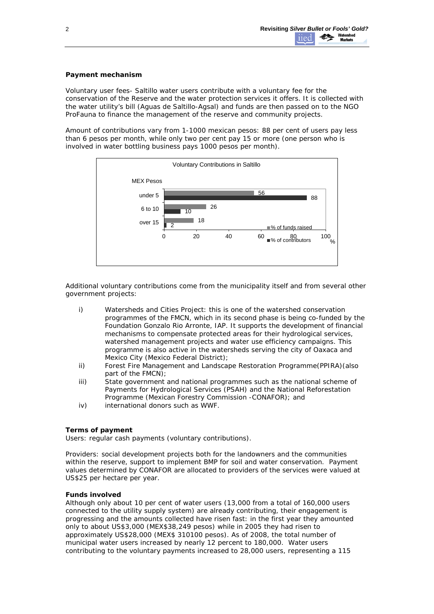# **Payment mechanism**

*Voluntary user fees*- Saltillo water users contribute with a voluntary fee for the conservation of the Reserve and the water protection services it offers. It is collected with the water utility's bill (Aguas de Saltillo-Agsal) and funds are then passed on to the NGO ProFauna to finance the management of the reserve and community projects.

Amount of contributions vary from 1-1000 mexican pesos: 88 per cent of users pay less than 6 pesos per month, while only two per cent pay 15 or more (one person who is involved in water bottling business pays 1000 pesos per month).



Additional voluntary contributions come from the municipality itself and from several other government projects:

- i) Watersheds and Cities Project: this is one of the watershed conservation programmes of the FMCN, which in its second phase is being co-funded by the Foundation Gonzalo Rio Arronte, IAP. It supports the development of financial mechanisms to compensate protected areas for their hydrological services, watershed management projects and water use efficiency campaigns. This programme is also active in the watersheds serving the city of Oaxaca and Mexico City (Mexico Federal District);
- ii) Forest Fire Management and Landscape Restoration Programme(PPIRA)(also part of the FMCN);
- iii) State government and national programmes such as the national scheme of Payments for Hydrological Services (PSAH) and the National Reforestation Programme (Mexican Forestry Commission -CONAFOR); and
- iv) international donors such as WWF.

# **Terms of payment**

*Users:* regular cash payments (voluntary contributions).

*Providers:* social development projects both for the landowners and the communities within the reserve, support to implement BMP for soil and water conservation. Payment values determined by CONAFOR are allocated to providers of the services were valued at US\$25 per hectare per year.

# **Funds involved**

Although only about 10 per cent of water users (13,000 from a total of 160,000 users connected to the utility supply system) are already contributing, their engagement is progressing and the amounts collected have risen fast: in the first year they amounted only to about US\$3,000 (MEX\$38,249 pesos) while in 2005 they had risen to approximately US\$28,000 (MEX\$ 310100 pesos). As of 2008, the total number of municipal water users increased by nearly 12 percent to 180,000. Water users contributing to the voluntary payments increased to 28,000 users, representing a 115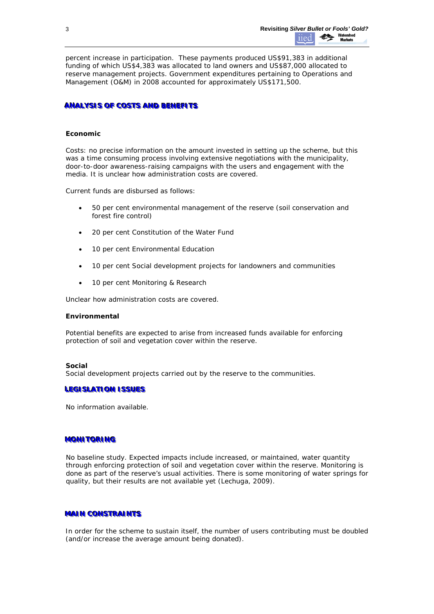percent increase in participation. These payments produced US\$91,383 in additional funding of which US\$4,383 was allocated to land owners and US\$87,000 allocated to reserve management projects. Government expenditures pertaining to Operations and Management (O&M) in 2008 accounted for approximately US\$171,500.

# **ANALYSIS OF COSTS AND BENEFITS**

# **Economic**

Costs: no precise information on the amount invested in setting up the scheme, but this was a time consuming process involving extensive negotiations with the municipality, door-to-door awareness-raising campaigns with the users and engagement with the media. It is unclear how administration costs are covered.

Current funds are disbursed as follows:

- 50 per cent environmental management of the reserve (soil conservation and forest fire control)
- 20 per cent Constitution of the Water Fund
- 10 per cent Environmental Education
- 10 per cent Social development projects for landowners and communities
- 10 per cent Monitoring & Research

Unclear how administration costs are covered.

### **Environmental**

Potential benefits are expected to arise from increased funds available for enforcing protection of soil and vegetation cover within the reserve.

#### **Social**

Social development projects carried out by the reserve to the communities.

### **LEGISLATION ISSUES**

No information available.

#### **MONITORING**

No baseline study. Expected impacts include increased, or maintained, water quantity through enforcing protection of soil and vegetation cover within the reserve. Monitoring is done as part of the reserve's usual activities. There is some monitoring of water springs for quality, but their results are not available yet (Lechuga, 2009).

# **MAIN CONSTRAINTS**

In order for the scheme to sustain itself, the number of users contributing must be doubled (and/or increase the average amount being donated).